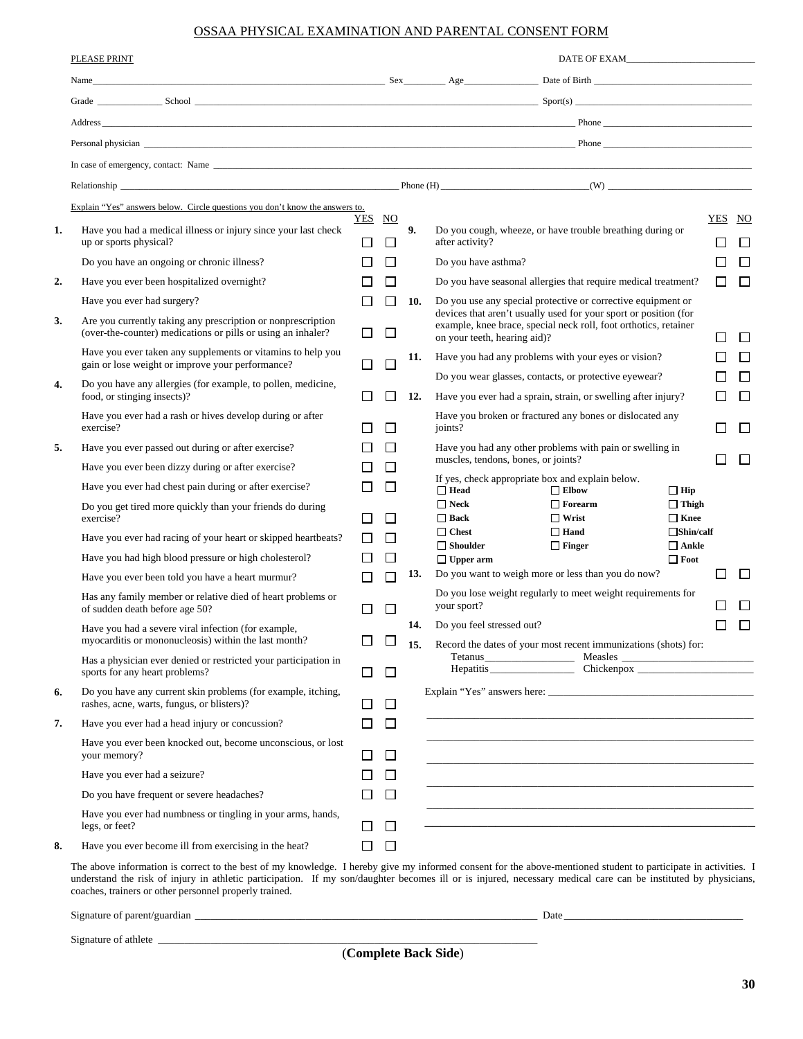## OSSAA PHYSICAL EXAMINATION AND PARENTAL CONSENT FORM

|    | PLEASE PRINT                                                                                                                 |                  |              |            |                                                                                               |                                                                                                                                      |                                                 |                  |        |
|----|------------------------------------------------------------------------------------------------------------------------------|------------------|--------------|------------|-----------------------------------------------------------------------------------------------|--------------------------------------------------------------------------------------------------------------------------------------|-------------------------------------------------|------------------|--------|
|    | Name Date of Birth Name Date of Birth Name Date of Birth Name Date of Birth Name Date of Birth                               |                  |              |            |                                                                                               |                                                                                                                                      |                                                 |                  |        |
|    |                                                                                                                              |                  |              |            |                                                                                               |                                                                                                                                      |                                                 |                  |        |
|    |                                                                                                                              |                  |              |            |                                                                                               |                                                                                                                                      |                                                 |                  |        |
|    |                                                                                                                              |                  |              |            |                                                                                               |                                                                                                                                      |                                                 |                  |        |
|    |                                                                                                                              |                  |              |            |                                                                                               |                                                                                                                                      |                                                 |                  |        |
|    |                                                                                                                              |                  |              |            |                                                                                               |                                                                                                                                      |                                                 |                  |        |
|    | Explain "Yes" answers below. Circle questions you don't know the answers to.                                                 |                  |              |            |                                                                                               |                                                                                                                                      |                                                 |                  |        |
| 1. | Have you had a medical illness or injury since your last check<br>up or sports physical?                                     | YES NO<br>$\Box$ | $\Box$       | 9.         | after activity?                                                                               | Do you cough, wheeze, or have trouble breathing during or                                                                            |                                                 | YES NO<br>$\Box$ | $\Box$ |
|    | Do you have an ongoing or chronic illness?                                                                                   |                  | $\Box$       |            | Do you have asthma?                                                                           |                                                                                                                                      |                                                 | $\Box$           | П      |
| 2. | Have you ever been hospitalized overnight?                                                                                   |                  |              |            |                                                                                               | Do you have seasonal allergies that require medical treatment?                                                                       |                                                 | □                | $\Box$ |
|    | Have you ever had surgery?                                                                                                   |                  | ΙI           | 10.        | Do you use any special protective or corrective equipment or                                  |                                                                                                                                      |                                                 |                  |        |
| 3. | Are you currently taking any prescription or nonprescription<br>(over-the-counter) medications or pills or using an inhaler? | П                | $\Box$       |            | on your teeth, hearing aid)?                                                                  | devices that aren't usually used for your sport or position (for<br>example, knee brace, special neck roll, foot orthotics, retainer |                                                 | П                | $\Box$ |
|    | Have you ever taken any supplements or vitamins to help you                                                                  |                  |              | 11.        |                                                                                               | Have you had any problems with your eyes or vision?                                                                                  |                                                 | $\mathbf{L}$     | П      |
| 4. | gain or lose weight or improve your performance?<br>Do you have any allergies (for example, to pollen, medicine,             | $\mathbf{L}$     | L            |            |                                                                                               | Do you wear glasses, contacts, or protective eyewear?                                                                                |                                                 | П                | $\Box$ |
|    | food, or stinging insects)?                                                                                                  |                  | ΙI           | 12.        |                                                                                               | Have you ever had a sprain, strain, or swelling after injury?                                                                        |                                                 | $\mathbf{L}$     | П      |
|    | Have you ever had a rash or hives develop during or after<br>exercise?                                                       |                  | $\mathsf{L}$ |            | joints?                                                                                       | Have you broken or fractured any bones or dislocated any                                                                             |                                                 | $\mathbf{L}$     | П      |
| 5. | Have you ever passed out during or after exercise?                                                                           |                  |              |            |                                                                                               | Have you had any other problems with pain or swelling in                                                                             |                                                 |                  |        |
|    | Have you ever been dizzy during or after exercise?                                                                           |                  | ΙI           |            | muscles, tendons, bones, or joints?                                                           |                                                                                                                                      |                                                 | ſΙ               | $\Box$ |
|    | Have you ever had chest pain during or after exercise?                                                                       | П                | П            |            | If yes, check appropriate box and explain below.<br>$\Box$ Elbow<br>$\Box$ Head<br>$\Box$ Hip |                                                                                                                                      |                                                 |                  |        |
|    | Do you get tired more quickly than your friends do during<br>exercise?                                                       | $\mathsf{L}$     | П            |            | $\Box$ Neck<br>$\Box$ Back<br>$\Box$ Chest                                                    | $\Box$ Forearm<br>$\Box$ Wrist<br>$\Box$ Hand                                                                                        | $\Box$ Thigh<br>$\Box$ Knee<br>$\Box$ Shin/calf |                  |        |
|    | Have you ever had racing of your heart or skipped heartbeats?                                                                | $\perp$          | $\perp$      |            | $\Box$ Shoulder                                                                               | $\Box$ Finger                                                                                                                        | $\Box$ Ankle                                    |                  |        |
|    | Have you had high blood pressure or high cholesterol?                                                                        |                  |              |            | $\Box$ Upper arm                                                                              |                                                                                                                                      | $\Box$ Foot                                     |                  |        |
|    | Have you ever been told you have a heart murmur?                                                                             |                  | $\Box$       | 13.        |                                                                                               | Do you want to weigh more or less than you do now?                                                                                   |                                                 | П                | $\Box$ |
|    | Has any family member or relative died of heart problems or<br>of sudden death before age 50?                                | П                | П            |            | your sport?                                                                                   | Do you lose weight regularly to meet weight requirements for                                                                         |                                                 |                  | П      |
|    | Have you had a severe viral infection (for example,<br>myocarditis or mononucleosis) within the last month?                  |                  | $\Box$       | 14.<br>15. | Do you feel stressed out?                                                                     | Record the dates of your most recent immunizations (shots) for:                                                                      |                                                 | П                | П      |
|    | Has a physician ever denied or restricted your participation in<br>sports for any heart problems?                            | $\mathsf{L}$     | $\Box$       |            |                                                                                               |                                                                                                                                      |                                                 |                  |        |
| 6. | Do you have any current skin problems (for example, itching,<br>rashes, acne, warts, fungus, or blisters)?                   | $\Box$           | ப            |            |                                                                                               | Explain "Yes" answers here:                                                                                                          |                                                 |                  |        |
| 7. | Have you ever had a head injury or concussion?                                                                               |                  | $\perp$      |            |                                                                                               |                                                                                                                                      |                                                 |                  |        |
|    | Have you ever been knocked out, become unconscious, or lost<br>your memory?                                                  | ΙI               | ப            |            |                                                                                               | <u> 1989 - Johann Stoff, deutscher Stoff, der Stoff, der Stoff, der Stoff, der Stoff, der Stoff, der Stoff, der S</u>                |                                                 |                  |        |
|    | Have you ever had a seizure?                                                                                                 |                  | l 1          |            |                                                                                               | <u> 1989 - Johann Stoff, deutscher Stoff, der Stoff, der Stoff, der Stoff, der Stoff, der Stoff, der Stoff, der S</u>                |                                                 |                  |        |
|    | Do you have frequent or severe headaches?                                                                                    |                  | l 1          |            |                                                                                               |                                                                                                                                      |                                                 |                  |        |
|    | Have you ever had numbness or tingling in your arms, hands,<br>legs, or feet?                                                |                  | ⊔            |            |                                                                                               |                                                                                                                                      |                                                 |                  |        |
| 8. | Have you ever become ill from exercising in the heat?                                                                        |                  | $\Box$       |            |                                                                                               |                                                                                                                                      |                                                 |                  |        |
|    |                                                                                                                              |                  |              |            |                                                                                               |                                                                                                                                      |                                                 |                  |        |

The above information is correct to the best of my knowledge. I hereby give my informed consent for the above-mentioned student to participate in activities. I understand the risk of injury in athletic participation. If my son/daughter becomes ill or is injured, necessary medical care can be instituted by physicians, coaches, trainers or other personnel properly trained.

Signature of parent/guardian \_\_\_\_\_\_\_\_\_\_\_\_\_\_\_\_\_\_\_\_\_\_\_\_\_\_\_\_\_\_\_\_\_\_\_\_\_\_\_\_\_\_\_\_\_\_\_\_\_\_\_\_\_\_\_\_\_\_\_\_\_\_\_\_\_ Date \_\_\_\_\_\_\_\_\_\_\_\_\_\_\_\_\_\_\_\_\_\_\_\_\_\_\_\_\_\_\_\_\_\_

Signature of athlete \_